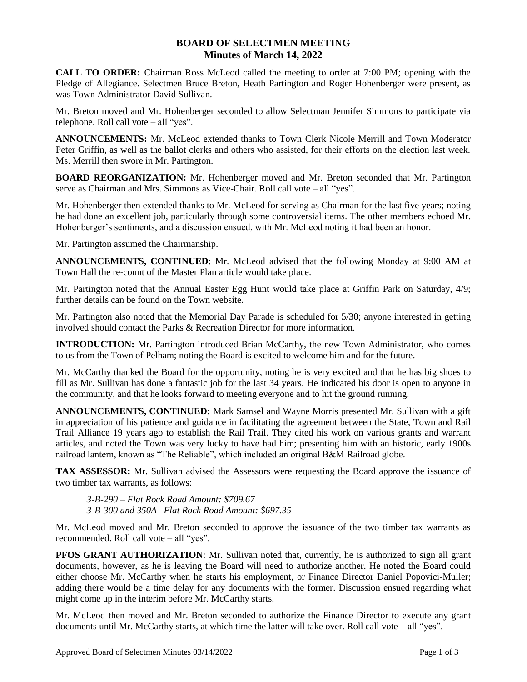## **BOARD OF SELECTMEN MEETING Minutes of March 14, 2022**

**CALL TO ORDER:** Chairman Ross McLeod called the meeting to order at 7:00 PM; opening with the Pledge of Allegiance. Selectmen Bruce Breton, Heath Partington and Roger Hohenberger were present, as was Town Administrator David Sullivan.

Mr. Breton moved and Mr. Hohenberger seconded to allow Selectman Jennifer Simmons to participate via telephone. Roll call vote – all "yes".

**ANNOUNCEMENTS:** Mr. McLeod extended thanks to Town Clerk Nicole Merrill and Town Moderator Peter Griffin, as well as the ballot clerks and others who assisted, for their efforts on the election last week. Ms. Merrill then swore in Mr. Partington.

**BOARD REORGANIZATION:** Mr. Hohenberger moved and Mr. Breton seconded that Mr. Partington serve as Chairman and Mrs. Simmons as Vice-Chair. Roll call vote – all "yes".

Mr. Hohenberger then extended thanks to Mr. McLeod for serving as Chairman for the last five years; noting he had done an excellent job, particularly through some controversial items. The other members echoed Mr. Hohenberger's sentiments, and a discussion ensued, with Mr. McLeod noting it had been an honor.

Mr. Partington assumed the Chairmanship.

**ANNOUNCEMENTS, CONTINUED**: Mr. McLeod advised that the following Monday at 9:00 AM at Town Hall the re-count of the Master Plan article would take place.

Mr. Partington noted that the Annual Easter Egg Hunt would take place at Griffin Park on Saturday, 4/9; further details can be found on the Town website.

Mr. Partington also noted that the Memorial Day Parade is scheduled for 5/30; anyone interested in getting involved should contact the Parks & Recreation Director for more information.

**INTRODUCTION:** Mr. Partington introduced Brian McCarthy, the new Town Administrator, who comes to us from the Town of Pelham; noting the Board is excited to welcome him and for the future.

Mr. McCarthy thanked the Board for the opportunity, noting he is very excited and that he has big shoes to fill as Mr. Sullivan has done a fantastic job for the last 34 years. He indicated his door is open to anyone in the community, and that he looks forward to meeting everyone and to hit the ground running.

**ANNOUNCEMENTS, CONTINUED:** Mark Samsel and Wayne Morris presented Mr. Sullivan with a gift in appreciation of his patience and guidance in facilitating the agreement between the State, Town and Rail Trail Alliance 19 years ago to establish the Rail Trail. They cited his work on various grants and warrant articles, and noted the Town was very lucky to have had him; presenting him with an historic, early 1900s railroad lantern, known as "The Reliable", which included an original B&M Railroad globe.

**TAX ASSESSOR:** Mr. Sullivan advised the Assessors were requesting the Board approve the issuance of two timber tax warrants, as follows:

*3-B-290 – Flat Rock Road Amount: \$709.67 3-B-300 and 350A– Flat Rock Road Amount: \$697.35*

Mr. McLeod moved and Mr. Breton seconded to approve the issuance of the two timber tax warrants as recommended. Roll call vote – all "yes".

**PFOS GRANT AUTHORIZATION:** Mr. Sullivan noted that, currently, he is authorized to sign all grant documents, however, as he is leaving the Board will need to authorize another. He noted the Board could either choose Mr. McCarthy when he starts his employment, or Finance Director Daniel Popovici-Muller; adding there would be a time delay for any documents with the former. Discussion ensued regarding what might come up in the interim before Mr. McCarthy starts.

Mr. McLeod then moved and Mr. Breton seconded to authorize the Finance Director to execute any grant documents until Mr. McCarthy starts, at which time the latter will take over. Roll call vote – all "yes".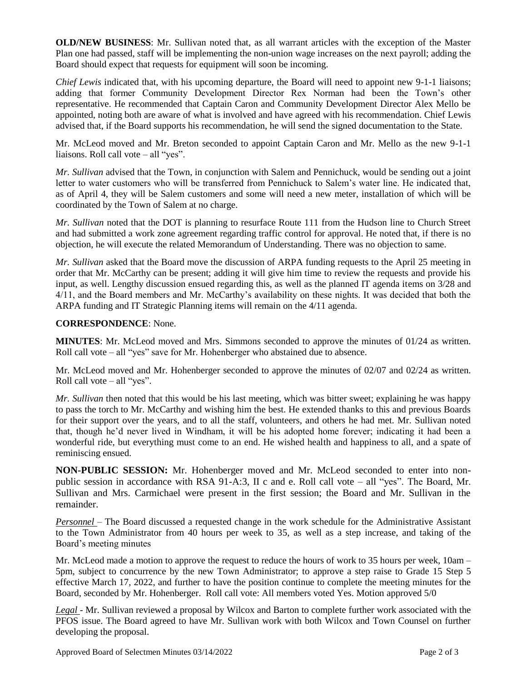**OLD/NEW BUSINESS**: Mr. Sullivan noted that, as all warrant articles with the exception of the Master Plan one had passed, staff will be implementing the non-union wage increases on the next payroll; adding the Board should expect that requests for equipment will soon be incoming.

*Chief Lewis* indicated that, with his upcoming departure, the Board will need to appoint new 9-1-1 liaisons; adding that former Community Development Director Rex Norman had been the Town's other representative. He recommended that Captain Caron and Community Development Director Alex Mello be appointed, noting both are aware of what is involved and have agreed with his recommendation. Chief Lewis advised that, if the Board supports his recommendation, he will send the signed documentation to the State.

Mr. McLeod moved and Mr. Breton seconded to appoint Captain Caron and Mr. Mello as the new 9-1-1 liaisons. Roll call vote – all "yes".

*Mr. Sullivan* advised that the Town, in conjunction with Salem and Pennichuck, would be sending out a joint letter to water customers who will be transferred from Pennichuck to Salem's water line. He indicated that, as of April 4, they will be Salem customers and some will need a new meter, installation of which will be coordinated by the Town of Salem at no charge.

*Mr. Sullivan* noted that the DOT is planning to resurface Route 111 from the Hudson line to Church Street and had submitted a work zone agreement regarding traffic control for approval. He noted that, if there is no objection, he will execute the related Memorandum of Understanding. There was no objection to same.

*Mr. Sullivan* asked that the Board move the discussion of ARPA funding requests to the April 25 meeting in order that Mr. McCarthy can be present; adding it will give him time to review the requests and provide his input, as well. Lengthy discussion ensued regarding this, as well as the planned IT agenda items on 3/28 and 4/11, and the Board members and Mr. McCarthy's availability on these nights. It was decided that both the ARPA funding and IT Strategic Planning items will remain on the 4/11 agenda.

## **CORRESPONDENCE**: None.

**MINUTES**: Mr. McLeod moved and Mrs. Simmons seconded to approve the minutes of 01/24 as written. Roll call vote – all "yes" save for Mr. Hohenberger who abstained due to absence.

Mr. McLeod moved and Mr. Hohenberger seconded to approve the minutes of 02/07 and 02/24 as written. Roll call vote – all "yes".

*Mr. Sullivan* then noted that this would be his last meeting, which was bitter sweet; explaining he was happy to pass the torch to Mr. McCarthy and wishing him the best. He extended thanks to this and previous Boards for their support over the years, and to all the staff, volunteers, and others he had met. Mr. Sullivan noted that, though he'd never lived in Windham, it will be his adopted home forever; indicating it had been a wonderful ride, but everything must come to an end. He wished health and happiness to all, and a spate of reminiscing ensued.

**NON-PUBLIC SESSION:** Mr. Hohenberger moved and Mr. McLeod seconded to enter into nonpublic session in accordance with RSA 91-A:3, II c and e. Roll call vote – all "yes". The Board, Mr. Sullivan and Mrs. Carmichael were present in the first session; the Board and Mr. Sullivan in the remainder.

*Personnel* – The Board discussed a requested change in the work schedule for the Administrative Assistant to the Town Administrator from 40 hours per week to 35, as well as a step increase, and taking of the Board's meeting minutes

Mr. McLeod made a motion to approve the request to reduce the hours of work to 35 hours per week, 10am – 5pm, subject to concurrence by the new Town Administrator; to approve a step raise to Grade 15 Step 5 effective March 17, 2022, and further to have the position continue to complete the meeting minutes for the Board, seconded by Mr. Hohenberger. Roll call vote: All members voted Yes. Motion approved 5/0

*Legal* - Mr. Sullivan reviewed a proposal by Wilcox and Barton to complete further work associated with the PFOS issue. The Board agreed to have Mr. Sullivan work with both Wilcox and Town Counsel on further developing the proposal.